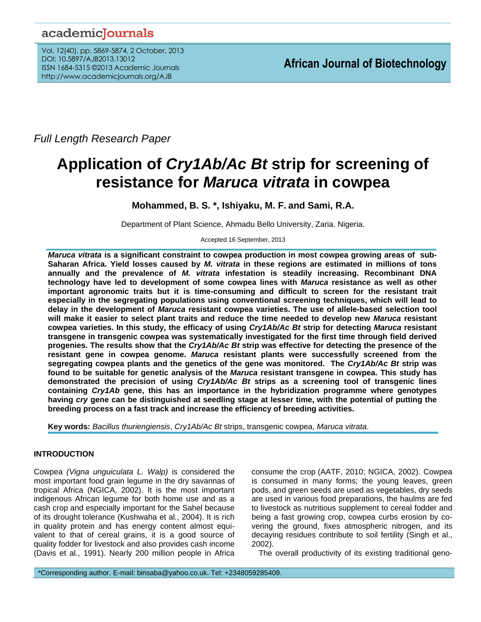# academiclournals

Vol. 12(40), pp. 5869-5874, 2 October, 2013 DOI: 10.5897/AJB2013.13012 ISSN 1684-5315 ©2013 Academic Journals http://www.academicjournals.org/AJB

*Full Length Research Paper*

# **Application of** *Cry1Ab/Ac Bt* **strip for screening of resistance for** *Maruca vitrata* **in cowpea**

**Mohammed, B. S. \*, Ishiyaku, M. F. and Sami, R.A.**

Department of Plant Science, Ahmadu Bello University, Zaria. Nigeria.

Accepted 16 September, 2013

*Maruca vitrata* **is a significant constraint to cowpea production in most cowpea growing areas of sub-Saharan Africa. Yield losses caused by** *M. vitrata* **in these regions are estimated in millions of tons annually and the prevalence of** *M. vitrata* **infestation is steadily increasing. Recombinant DNA technology have led to development of some cowpea lines with** *Maruca* **resistance as well as other important agronomic traits but it is time-consuming and difficult to screen for the resistant trait especially in the segregating populations using conventional screening techniques, which will lead to delay in the development of** *Maruca* **resistant cowpea varieties. The use of allele-based selection tool will make it easier to select plant traits and reduce the time needed to develop new** *Maruca* **resistant cowpea varieties. In this study, the efficacy of using** *Cry1Ab/Ac Bt* **strip for detecting** *Maruca* **resistant transgene in transgenic cowpea was systematically investigated for the first time through field derived progenies. The results show that the** *Cry1Ab/Ac Bt* **strip was effective for detecting the presence of the resistant gene in cowpea genome.** *Maruca* **resistant plants were successfully screened from the segregating cowpea plants and the genetics of the gene was monitored. The** *Cry1Ab/Ac Bt* **strip was found to be suitable for genetic analysis of the** *Maruca* **resistant transgene in cowpea. This study has demonstrated the precision of using** *Cry1Ab/Ac Bt* **strips as a screening tool of transgenic lines containing** *Cry1Ab* **gene, this has an importance in the hybridization programme where genotypes having** *cry* **gene can be distinguished at seedling stage at lesser time, with the potential of putting the breeding process on a fast track and increase the efficiency of breeding activities.**

**Key words:** *Bacillus thuriengiensis*, *Cry1Ab/Ac Bt* strips, transgenic cowpea, *Maruca vitrata*.

# **INTRODUCTION**

Cowpea *(Vigna unguiculata L. Walp)* is considered the most important food grain legume in the dry savannas of tropical Africa (NGICA, 2002). It is the most important indigenous African legume for both home use and as a cash crop and especially important for the Sahel because of its drought tolerance (Kushwaha et al*.*, 2004). It is rich in quality protein and has energy content almost equivalent to that of cereal grains, it is a good source of quality fodder for livestock and also provides cash income (Davis et al*.*, 1991). Nearly 200 million people in Africa

consume the crop (AATF, 2010; NGICA, 2002). Cowpea is consumed in many forms; the young leaves, green pods, and green seeds are used as vegetables, dry seeds are used in various food preparations, the haulms are fed to livestock as nutritious supplement to cereal fodder and being a fast growing crop, cowpea curbs erosion by covering the ground, fixes atmospheric nitrogen, and its decaying residues contribute to soil fertility (Singh et al., 2002).

The overall productivity of its existing traditional geno-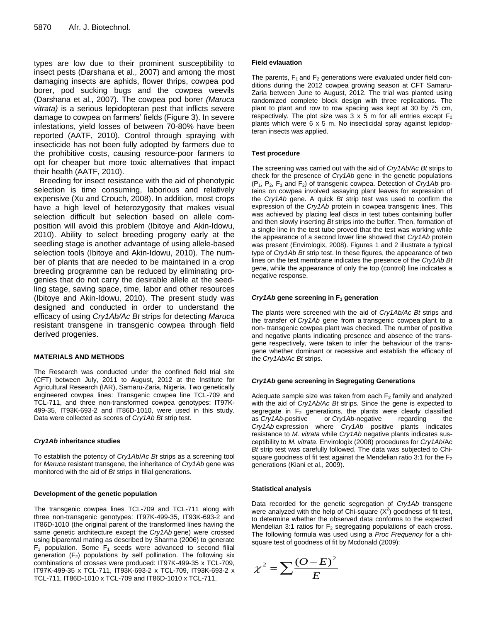types are low due to their prominent susceptibility to insect pests (Darshana et al*.*, 2007) and among the most damaging insects are aphids, flower thrips, cowpea pod borer, pod sucking bugs and the cowpea weevils (Darshana et al*.*, 2007). The cowpea pod borer *(Maruca vitrata)* is a serious lepidopteran pest that inflicts severe damage to cowpea on farmers' fields (Figure 3). In severe infestations, yield losses of between 70-80% have been reported (AATF, 2010). Control through spraying with insecticide has not been fully adopted by farmers due to the prohibitive costs, causing resource-poor farmers to opt for cheaper but more toxic alternatives that impact their health (AATF, 2010).

Breeding for insect resistance with the aid of phenotypic selection is time consuming, laborious and relatively expensive (Xu and Crouch, 2008). In addition, most crops have a high level of heterozygosity that makes visual selection difficult but selection based on allele composition will avoid this problem (Ibitoye and Akin-Idowu, 2010). Ability to select breeding progeny early at the seedling stage is another advantage of using allele-based selection tools (Ibitoye and Akin-Idowu, 2010). The number of plants that are needed to be maintained in a crop breeding programme can be reduced by eliminating progenies that do not carry the desirable allele at the seedling stage, saving space, time, labor and other resources (Ibitoye and Akin-Idowu, 2010). The present study was designed and conducted in order to understand the efficacy of using *Cry1Ab/Ac Bt* strips for detecting *Maruca* resistant transgene in transgenic cowpea through field derived progenies.

#### **MATERIALS AND METHODS**

The Research was conducted under the confined field trial site (CFT) between July, 2011 to August, 2012 at the Institute for Agricultural Research (IAR), Samaru-Zaria, Nigeria. Two genetically engineered cowpea lines: Transgenic cowpea line TCL-709 and TCL-711, and three non-transformed cowpea genotypes: IT97K-499-35, IT93K-693-2 and IT86D-1010, were used in this study. Data were collected as scores of *Cry1Ab Bt* strip test.

#### *Cry1Ab* **inheritance studies**

To establish the potency of *Cry1Ab*/*Ac Bt* strips as a screening tool for *Maruca* resistant transgene, the inheritance of *Cry1Ab* gene was monitored with the aid of *Bt* strips in filial generations.

#### **Development of the genetic population**

The transgenic cowpea lines TCL-709 and TCL-711 along with three non-transgenic genotypes: IT97K-499-35, IT93K-693-2 and IT86D-1010 (the original parent of the transformed lines having the same genetic architecture except the *Cry1Ab* gene) were crossed using biparental mating as described by Sharma (2006) to generate  $F_1$  population. Some  $F_1$  seeds were advanced to second filial generation  $(F_2)$  populations by self pollination. The following six combinations of crosses were produced: IT97K-499-35 x TCL-709, IT97K-499-35 x TCL-711, IT93K-693-2 x TCL-709, IT93K-693-2 x TCL-711, IT86D-1010 x TCL-709 and IT86D-1010 x TCL-711.

#### **Field evlauation**

The parents,  $F_1$  and  $F_2$  generations were evaluated under field conditions during the 2012 cowpea growing season at CFT Samaru-Zaria between June to August, 2012. The trial was planted using randomized complete block design with three replications. The plant to plant and row to row spacing was kept at 30 by 75 cm, respectively. The plot size was  $3 \times 5$  m for all entries except  $F_2$ plants which were 6 x 5 m. No insecticidal spray against lepidopteran insects was applied.

#### **Test procedure**

The screening was carried out with the aid of *Cry1Ab/Ac Bt* strips to check for the presence of *Cry1Ab* gene in the genetic populations  $(P_1, P_2, F_1 \text{ and } F_2)$  of transgenic cowpea. Detection of *Cry1Ab* proteins on cowpea involved assaying plant leaves for expression of the *Cry1Ab* gene. A quick *Bt* strip test was used to confirm the expression of the *Cry1Ab* protein in cowpea transgenic lines. This was achieved by placing leaf discs in test tubes containing buffer and then slowly inserting *Bt* strips into the buffer. Then, formation of a single line in the test tube proved that the test was working while the appearance of a second lower line showed that *Cry1Ab* protein was present (Envirologix, 2008). Figures 1 and 2 illustrate a typical type of *Cry1Ab Bt* strip test. In these figures, the appearance of two lines on the test membrane indicates the presence of the *Cry1Ab Bt gene*, while the appearance of only the top (control) line indicates a negative response.

#### *Cry1Ab* **gene screening in F<sup>1</sup> generation**

The plants were screened with the aid of *Cry1Ab/Ac Bt* strips and the transfer of *Cry1Ab* gene from a transgenic cowpea plant to a non- transgenic cowpea plant was checked. The number of positive and negative plants indicating presence and absence of the transgene respectively, were taken to infer the behaviour of the transgene whether dominant or recessive and establish the efficacy of the *Cry1Ab/Ac Bt* strips.

#### *Cry1Ab* **gene screening in Segregating Generations**

Adequate sample size was taken from each  $F<sub>2</sub>$  family and analyzed with the aid of *Cry1Ab/Ac Bt* strips. Since the gene is expected to segregate in  $F_2$  generations, the plants were clearly classified as *Cry1Ab*-positive or *Cry1Ab*-negative regarding the *Cry1Ab* expression where *Cry1Ab* positive plants indicates resistance to *M. vitrata* while *Cry1Ab* negative plants indicates susceptibility to *M. vitrata*. Envirologix (2008) procedures for *Cry1Ab*/Ac *Bt* strip test was carefully followed. The data was subjected to Chisquare goodness of fit test against the Mendelian ratio 3:1 for the  $F_2$ generations (Kiani et al., 2009).

#### **Statistical analysis**

Data recorded for the genetic segregation of *Cry1Ab* transgene were analyzed with the help of Chi-square  $(X^2)$  goodness of fit test, to determine whether the observed data conforms to the expected Mendelian 3:1 ratios for  $F_2$  segregating populations of each cross. The following formula was used using a *Proc Frequency* for a chisquare test of goodness of fit by Mcdonald (2009):

$$
\chi^2 = \sum \frac{(O-E)^2}{E}
$$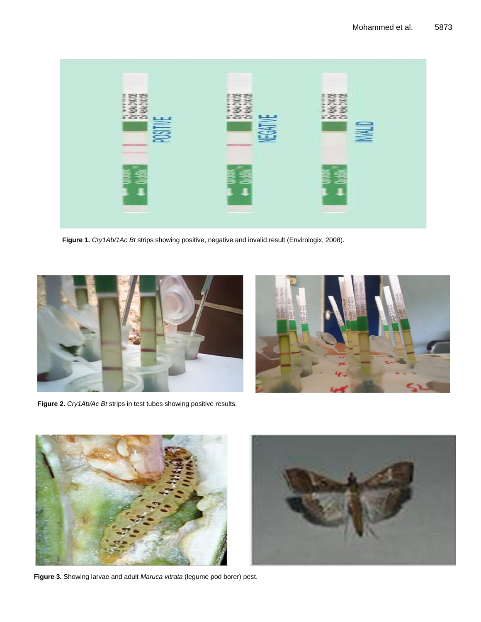

**Figure 1.** *Cry1Ab/1Ac Bt* strips showing positive, negative and invalid result (Envirologix, 2008).



**Figure 2.** *Cry1Ab/Ac Bt* strips in test tubes showing positive results.





**Figure 3.** Showing larvae and adult *Maruca vitrata* (legume pod borer) pest.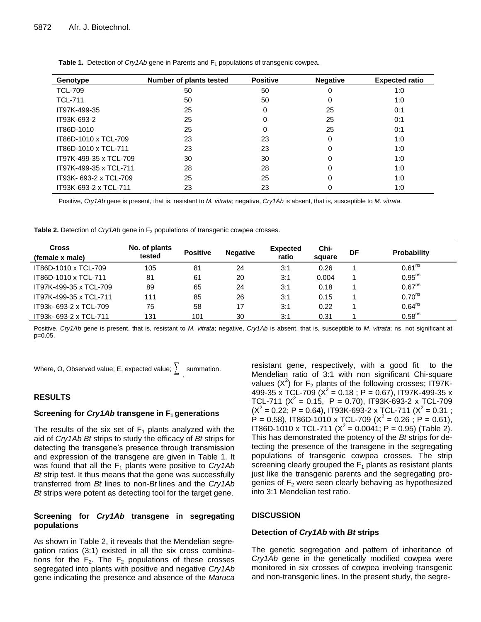| Genotype               | Number of plants tested | <b>Positive</b> | <b>Negative</b> | <b>Expected ratio</b> |
|------------------------|-------------------------|-----------------|-----------------|-----------------------|
| <b>TCL-709</b>         | 50                      | 50              | 0               | 1:0                   |
| <b>TCL-711</b>         | 50                      | 50              | 0               | 1:0                   |
| IT97K-499-35           | 25                      | 0               | 25              | 0:1                   |
| IT93K-693-2            | 25                      | 0               | 25              | 0:1                   |
| IT86D-1010             | 25                      | 0               | 25              | 0:1                   |
| IT86D-1010 x TCL-709   | 23                      | 23              | 0               | 1:0                   |
| IT86D-1010 x TCL-711   | 23                      | 23              | 0               | 1:0                   |
| IT97K-499-35 x TCL-709 | 30                      | 30              | 0               | 1:0                   |
| IT97K-499-35 x TCL-711 | 28                      | 28              | 0               | 1:0                   |
| IT93K-693-2 x TCL-709  | 25                      | 25              | 0               | 1:0                   |
| IT93K-693-2 x TCL-711  | 23                      | 23              |                 | 1:0                   |

**Table 1.** Detection of *Cry1Ab* gene in Parents and F<sub>1</sub> populations of transgenic cowpea.

Positive, *Cry1Ab* gene is present, that is, resistant to *M. vitrata*; negative, *Cry1Ab* is absent, that is, susceptible to *M. vitrata*.

**Table 2.** Detection of *Cry1Ab* gene in F<sub>2</sub> populations of transgenic cowpea crosses.

| <b>Cross</b><br>(female x male) | No. of plants<br>tested | <b>Positive</b> | <b>Negative</b> | <b>Expected</b><br>ratio | Chi-<br>square | DF | <b>Probability</b>   |
|---------------------------------|-------------------------|-----------------|-----------------|--------------------------|----------------|----|----------------------|
| IT86D-1010 x TCL-709            | 105                     | 81              | 24              | 3:1                      | 0.26           |    | 0.61 <sup>ns</sup>   |
| IT86D-1010 x TCL-711            | 81                      | 61              | 20              | 3:1                      | 0.004          |    | 0.95 <sup>ns</sup>   |
| IT97K-499-35 x TCL-709          | 89                      | 65              | 24              | 3:1                      | 0.18           |    | 0.67 <sup>ns</sup>   |
| IT97K-499-35 x TCL-711          | 111                     | 85              | 26              | 3:1                      | 0.15           |    | $0.70$ <sup>ns</sup> |
| IT93k- 693-2 x TCL-709          | 75                      | 58              | 17              | 3:1                      | 0.22           |    | 0.64 <sup>ns</sup>   |
| IT93k- 693-2 x TCL-711          | 131                     | 101             | 30              | 3:1                      | 0.31           |    | 0.58 <sup>ns</sup>   |

Positive, *Cry1Ab* gene is present, that is, resistant to *M. vitrata*; negative, *Cry1Ab* is absent, that is, susceptible to *M. vitrata*; ns, not significant at p=0.05.

Where, O, Observed value; E, expected value;  $\sum_{i=1}^{\infty}$  summation.

# **RESULTS**

#### **Screening for** *Cry1Ab* **transgene in F1 generations**

The results of the six set of  $F_1$  plants analyzed with the aid of *Cry1Ab Bt* strips to study the efficacy of *Bt* strips for detecting the transgene's presence through transmission and expression of the transgene are given in Table 1. It was found that all the F<sub>1</sub> plants were positive to *Cry1Ab Bt* strip test. It thus means that the gene was successfully transferred from *Bt* lines to non-*Bt* lines and the *Cry1Ab Bt* strips were potent as detecting tool for the target gene.

# **Screening for** *Cry1Ab* **transgene in segregating populations**

As shown in Table 2, it reveals that the Mendelian segregation ratios (3:1) existed in all the six cross combinations for the  $F_2$ . The  $F_2$  populations of these crosses segregated into plants with positive and negative *Cry1Ab* gene indicating the presence and absence of the *Maruca*

resistant gene, respectively, with a good fit to the Mendelian ratio of 3:1 with non significant Chi-square values  $(X^2)$  for  $F_2$  plants of the following crosses; IT97K-499-35 x TCL-709 ( $X^2$  = 0.18 ; P = 0.67), IT97K-499-35 x TCL-711 ( $X^2 = 0.15$ , P = 0.70), IT93K-693-2 x TCL-709  $(X^2 = 0.22; P = 0.64)$ , IT93K-693-2 x TCL-711  $(X^2 = 0.31;$  $P = 0.58$ ), IT86D-1010 x TCL-709 ( $X^2 = 0.26$ ;  $P = 0.61$ ), IT86D-1010 x TCL-711 ( $X^2 = 0.0041$ ; P = 0.95) (Table 2). This has demonstrated the potency of the *Bt* strips for detecting the presence of the transgene in the segregating populations of transgenic cowpea crosses. The strip screening clearly grouped the  $F_1$  plants as resistant plants just like the transgenic parents and the segregating progenies of  $F_2$  were seen clearly behaving as hypothesized into 3:1 Mendelian test ratio.

# **DISCUSSION**

# **Detection of** *Cry1Ab* **with** *Bt* **strips**

The genetic segregation and pattern of inheritance of *Cry1Ab* gene in the genetically modified cowpea were monitored in six crosses of cowpea involving transgenic and non-transgenic lines. In the present study, the segre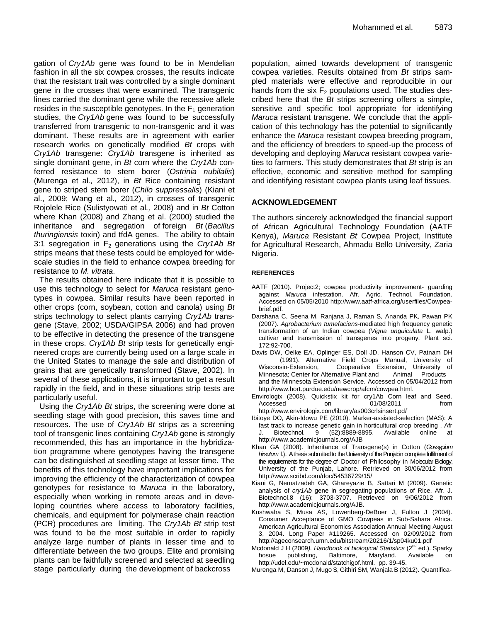gation of *Cry1Ab* gene was found to be in Mendelian fashion in all the six cowpea crosses, the results indicate that the resistant trait was controlled by a single dominant gene in the crosses that were examined. The transgenic lines carried the dominant gene while the recessive allele resides in the susceptible genotypes. In the  $F_1$  generation studies, the *Cry1Ab* gene was found to be successfully transferred from transgenic to non-transgenic and it was dominant. These results are in agreement with earlier research works on genetically modified *Bt* crops with *Cry1Ab* transgene: *Cry1Ab* transgene is inherited as single dominant gene, in *Bt* corn where the *Cry1Ab* conferred resistance to stem borer (*Ostrinia nubilalis*) (Murenga et al*.,* 2012), in *Bt* Rice containing resistant gene to striped stem borer (*Chilo suppressalis*) (Kiani et al., 2009; Wang et al*.,* 2012), in crosses of transgenic Rojolele Rice (Sulistyowati et al*.,* 2008) and in *Bt* Cotton where Khan (2008) and Zhang et al. (2000) studied the inheritance and segregation of foreign *Bt* (*Bacillus thuringiensis* toxin) and tfdA genes. The ability to obtain 3:1 segregation in F<sup>2</sup> generations using the *Cry1Ab Bt* strips means that these tests could be employed for widescale studies in the field to enhance cowpea breeding for resistance to *M. vitrata*.

The results obtained here indicate that it is possible to use this technology to select for *Maruca* resistant genotypes in cowpea. Similar results have been reported in other crops (corn, soybean, cotton and canola) using *Bt* strips technology to select plants carrying *Cry1Ab* transgene (Stave, 2002; USDA/GIPSA 2006) and had proven to be effective in detecting the presence of the transgene in these crops. *Cry1Ab Bt* strip tests for genetically engineered crops are currently being used on a large scale in the United States to manage the sale and distribution of grains that are genetically transformed (Stave, 2002). In several of these applications, it is important to get a result rapidly in the field, and in these situations strip tests are particularly useful.

Using the *Cry1Ab Bt* strips, the screening were done at seedling stage with good precision, this saves time and resources. The use of *Cry1Ab Bt* strips as a screening tool of transgenic lines containing *Cry1Ab* gene is strongly recommended, this has an importance in the hybridization programme where genotypes having the transgene can be distinguished at seedling stage at lesser time. The benefits of this technology have important implications for improving the efficiency of the characterization of cowpea genotypes for resistance to *Maruca* in the laboratory, especially when working in remote areas and in developing countries where access to laboratory facilities, chemicals, and equipment for polymerase chain reaction (PCR) procedures are limiting. The *Cry1Ab Bt* strip test was found to be the most suitable in order to rapidly analyze large number of plants in lesser time and to differentiate between the two groups. Elite and promising plants can be faithfully screened and selected at seedling stage particularly during the development of backcross

population, aimed towards development of transgenic cowpea varieties. Results obtained from *Bt* strips sampled materials were effective and reproducible in our hands from the six  $F_2$  populations used. The studies described here that the *Bt* strips screening offers a simple, sensitive and specific tool appropriate for identifying *Maruca* resistant transgene. We conclude that the application of this technology has the potential to significantly enhance the *Maruca* resistant cowpea breeding program, and the efficiency of breeders to speed-up the process of developing and deploying *Maruca* resistant cowpea varieties to farmers. This study demonstrates that *Bt* strip is an effective, economic and sensitive method for sampling and identifying resistant cowpea plants using leaf tissues.

# **ACKNOWLEDGEMENT**

The authors sincerely acknowledged the financial support of African Agricultural Technology Foundation (AATF Kenya), *Maruca* Resistant *Bt* Cowpea Project, Institute for Agricultural Research, Ahmadu Bello University, Zaria Nigeria.

### **REFERENCES**

- AATF (2010). Project2; cowpea productivity improvement- guarding against *Maruca* infestation. Afr. Agric. Technol. Foundation. Accessed on 05/05/2010 [http://www.aatf-africa.org/userfiles/Cowpea](http://www.aatf-africa.org/userfiles/Cowpea-brief.pdf)[brief.pdf](http://www.aatf-africa.org/userfiles/Cowpea-brief.pdf).
- Darshana C, Seena M, Ranjana J, Raman S, Ananda PK, Pawan PK (2007). *Agrobacterium tumefaciens*-mediated high frequency genetic transformation of an Indian cowpea (*Vigna unguiculata* L. walp.) cultivar and transmission of transgenes into progeny*.* Plant sci. 172:92-700.
- Davis DW, Oelke EA, Oplinger ES, Doll JD, Hanson CV, Patnam DH (1991). Alternative Field Crops Manual, University of Wisconsin-Extension, Cooperative Extension, University of Minnesota; Center for Alternative Plant and Animal Products and the Minnesota Extension Service. Accessed on 05/04/2012 from <http://www.hort.purdue.edu/newcrop/afcm/cowpea.html>.
- Envirologix (2008). Quickstix kit for cry1Ab Corn leaf and Seed. Accessed on 01/08/2011 from [http://www.envirologix.com/library/as003crlsinsert.pd](http://www.envirologix.com/library/as003crlsinsert.pdf)*f*
- Ibitoye DO, Akin-Idowu PE (2010). Marker-assisted-selection (MAS): A fast track to increase genetic gain in horticultural crop breeding . Afr J. Biotechnol*.* 9 (52):8889-8895. Available online at <http://www.academicjournals.org/AJB>
- Khan GA (2008). Inheritance of Transgene(s) in Cotton (*Gossypium hirsutum* l.). A thesis submitted to the University of the Punjabin complete fulfillment of the requirements for the degree of Doctor of Philosophy in Molecular Biology, University of the Punjab, Lahore. Retrieved on 30/06/2012 from <http://www.scribd.com/doc/54536729/15/>
- Kiani G, Nematzadeh GA, Ghareyazie B, Sattari M (2009). Genetic analysis of *cry1Ab* gene in segregating populations of Rice. Afr. J. Biotechnol.8 (16): 3703-3707. Retrieved on 9/06/2012 from [http://www.academicjournals.org/AJB.](http://www.academicjournals.org/AJB)
- Kushwaha S, Musa AS, Lowenberg-DeBoer J, Fulton J (2004). Consumer Acceptance of GMO Cowpeas in Sub-Sahara Africa. American Agricultural Economics Association Annual Meeting August 3, 2004. Long Paper #119265. Accessed on 02/09/2012 from <http://ageconsearch.umn.edu/bitstream/20216/1/sp04ku01.pdf>
- Mcdonald J H (2009). Handbook of biological Statistics (2<sup>nd</sup> ed.). Sparky hosue publishing, Baltimore, Maryland. Available on <http://udel.edu/~mcdonald/statchigof.html.>pp. 39-45.
- Murenga M, Danson J, Mugo S, Githiri SM, Wanjala B (2012). Quantifica-